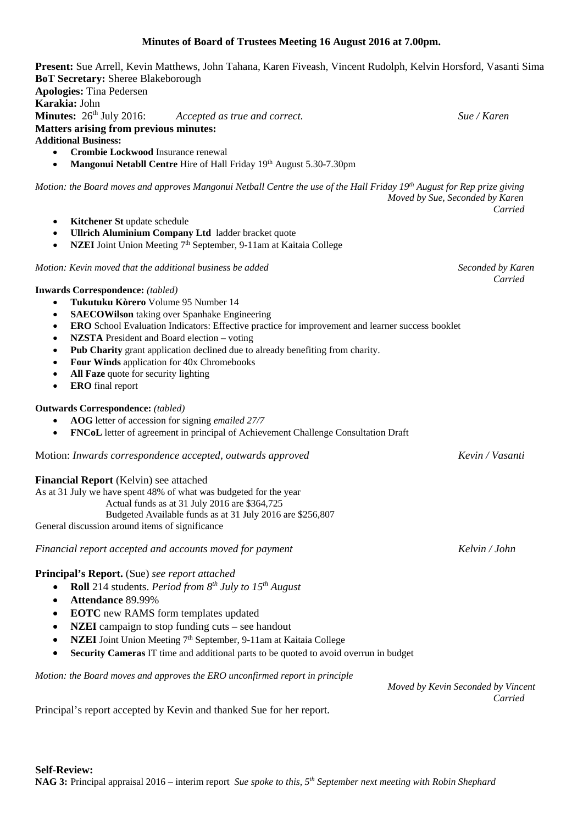# **Minutes of Board of Trustees Meeting 16 August 2016 at 7.00pm.**

**Present:** Sue Arrell, Kevin Matthews, John Tahana, Karen Fiveash, Vincent Rudolph, Kelvin Horsford, Vasanti Sima **BoT Secretary:** Sheree Blakeborough **Apologies:** Tina Pedersen **Karakia:** John<br>**Minutes:** 26<sup>th</sup> July 2016:  $\emph{Accepted as true and correct.}$  **Sue** / Karen **Matters arising from previous minutes: Additional Business:**  • **Crombie Lockwood** Insurance renewal **Mangonui Netabll Centre** Hire of Hall Friday 19<sup>th</sup> August 5.30-7.30pm *Motion: the Board moves and approves Mangonui Netball Centre the use of the Hall Friday 19th August for Rep prize giving Moved by Sue, Seconded by Karen Carried* **Kitchener St update schedule** • **Ullrich Aluminium Company Ltd** ladder bracket quote **NZEI** Joint Union Meeting 7<sup>th</sup> September, 9-11am at Kaitaia College *Motion: Kevin moved that the additional business be added* Seconded by Karen *Carried* **Inwards Correspondence:** *(tabled)* • **Tukutuku Kòrero** Volume 95 Number 14 **SAECOWilson** taking over Spanhake Engineering • **ERO** School Evaluation Indicators: Effective practice for improvement and learner success booklet • **NZSTA** President and Board election – voting **Pub Charity** grant application declined due to already benefiting from charity. • **Four Winds** application for 40x Chromebooks • **All Faze** quote for security lighting • **ERO** final report **Outwards Correspondence:** *(tabled)* • **AOG** letter of accession for signing *emailed 27/7* • **FNCoL** letter of agreement in principal of Achievement Challenge Consultation Draft Motion: *Inwards correspondence accepted, outwards approved Kevin / Vasanti* **Financial Report** (Kelvin) see attached As at 31 July we have spent 48% of what was budgeted for the year Actual funds as at 31 July 2016 are \$364,725 Budgeted Available funds as at 31 July 2016 are \$256,807 General discussion around items of significance *Financial report accepted and accounts moved for payment Kelvin / John* **Principal's Report.** (Sue) *see report attached* • **Roll** 214 students. *Period from 8th July to 15th August* • **Attendance** 89.99% • **EOTC** new RAMS form templates updated • **NZEI** campaign to stop funding cuts – see handout • **NZEI** Joint Union Meeting 7<sup>th</sup> September, 9-11am at Kaitaia College • **Security Cameras** IT time and additional parts to be quoted to avoid overrun in budget *Motion: the Board moves and approves the ERO unconfirmed report in principle Moved by Kevin Seconded by Vincent Carried* Principal's report accepted by Kevin and thanked Sue for her report.